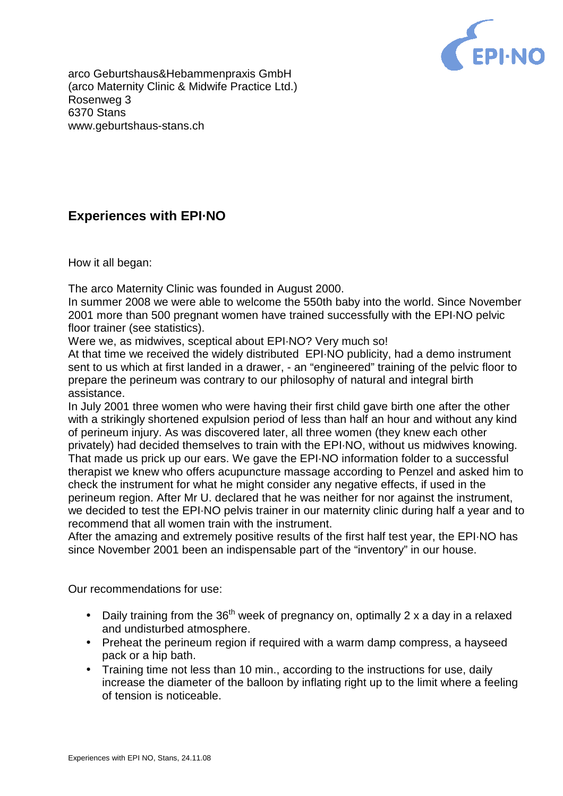

arco Geburtshaus&Hebammenpraxis GmbH (arco Maternity Clinic & Midwife Practice Ltd.) Rosenweg 3 6370 Stans [www.geburtshaus-stans.ch](http://www.geburtshaus-stans.ch)

## **Experiences with EPI·NO**

How it all began:

The arco Maternity Clinic was founded in August 2000.

In summer 2008 we were able to welcome the 550th baby into the world. Since November 2001 more than 500 pregnant women have trained successfully with the EPI·NO pelvic floor trainer (see statistics).

Were we, as midwives, sceptical about EPI·NO? Very much so!

At that time we received the widely distributed EPI·NO publicity, had a demo instrument sent to us which at first landed in a drawer, - an "engineered" training of the pelvic floor to prepare the perineum was contrary to our philosophy of natural and integral birth assistance.

In July 2001 three women who were having their first child gave birth one after the other with a strikingly shortened expulsion period of less than half an hour and without any kind of perineum injury. As was discovered later, all three women (they knew each other privately) had decided themselves to train with the EPI·NO, without us midwives knowing. That made us prick up our ears. We gave the EPI·NO information folder to a successful therapist we knew who offers acupuncture massage according to Penzel and asked him to check the instrument for what he might consider any negative effects, if used in the perineum region. After Mr U. declared that he was neither for nor against the instrument, we decided to test the EPI·NO pelvis trainer in our maternity clinic during half a year and to recommend that all women train with the instrument.

After the amazing and extremely positive results of the first half test year, the EPI·NO has since November 2001 been an indispensable part of the "inventory" in our house.

Our recommendations for use:

- Daily training from the  $36<sup>th</sup>$  week of pregnancy on, optimally 2 x a day in a relaxed and undisturbed atmosphere.
- Preheat the perineum region if required with a warm damp compress, a hayseed pack or a hip bath.
- Training time not less than 10 min., according to the instructions for use, daily increase the diameter of the balloon by inflating right up to the limit where a feeling of tension is noticeable.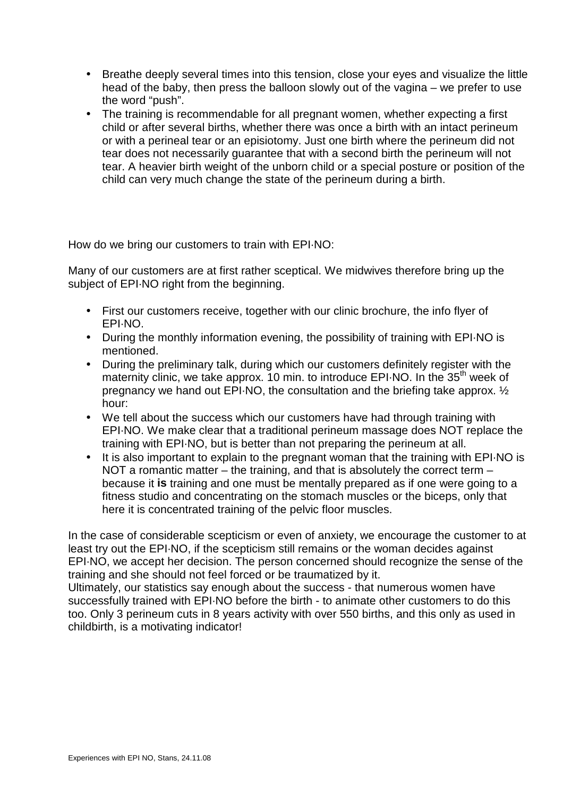- Breathe deeply several times into this tension, close your eyes and visualize the little head of the baby, then press the balloon slowly out of the vagina – we prefer to use the word "push".
- The training is recommendable for all pregnant women, whether expecting a first child or after several births, whether there was once a birth with an intact perineum or with a perineal tear or an episiotomy. Just one birth where the perineum did not tear does not necessarily guarantee that with a second birth the perineum will not tear. A heavier birth weight of the unborn child or a special posture or position of the child can very much change the state of the perineum during a birth.

How do we bring our customers to train with EPI·NO:

Many of our customers are at first rather sceptical. We midwives therefore bring up the subject of EPI·NO right from the beginning.

- First our customers receive, together with our clinic brochure, the info flyer of EPI·NO.
- During the monthly information evening, the possibility of training with EPI·NO is mentioned.
- During the preliminary talk, during which our customers definitely register with the maternity clinic, we take approx. 10 min. to introduce  $EPI\cdot NO$ . In the  $35<sup>th</sup>$  week of pregnancy we hand out EPI·NO, the consultation and the briefing take approx. ½ hour:
- We tell about the success which our customers have had through training with EPI·NO. We make clear that a traditional perineum massage does NOT replace the training with EPI·NO, but is better than not preparing the perineum at all.
- It is also important to explain to the pregnant woman that the training with EPI·NO is NOT a romantic matter – the training, and that is absolutely the correct term – because it **is** training and one must be mentally prepared as if one were going to a fitness studio and concentrating on the stomach muscles or the biceps, only that here it is concentrated training of the pelvic floor muscles.

In the case of considerable scepticism or even of anxiety, we encourage the customer to at least try out the EPI·NO, if the scepticism still remains or the woman decides against EPI·NO, we accept her decision. The person concerned should recognize the sense of the training and she should not feel forced or be traumatized by it.

Ultimately, our statistics say enough about the success - that numerous women have successfully trained with EPI·NO before the birth - to animate other customers to do this too. Only 3 perineum cuts in 8 years activity with over 550 births, and this only as used in childbirth, is a motivating indicator!